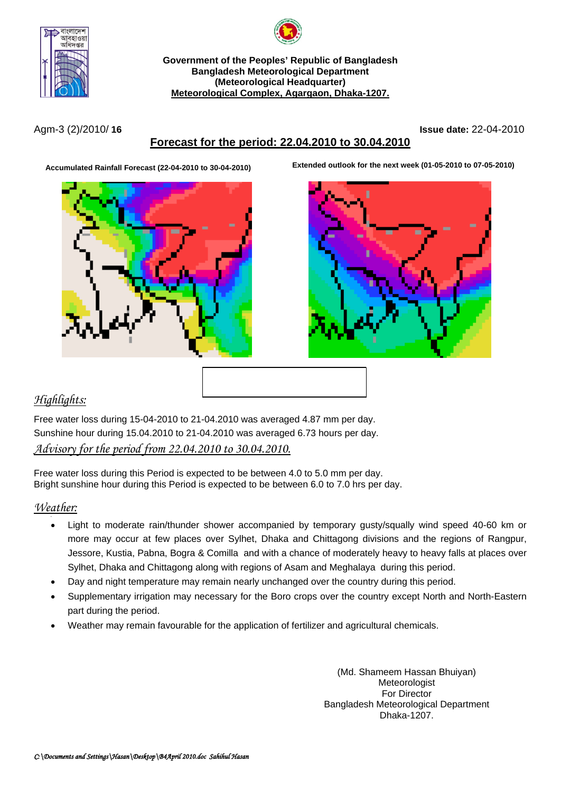



**Government of the Peoples' Republic of Bangladesh Bangladesh Meteorological Department (Meteorological Headquarter) Meteorological Complex, Agargaon, Dhaka-1207.**

Agm-3 (2)/2010/ **16 Issue date:** 22-04-2010

# **Forecast for the period: 22.04.2010 to 30.04.2010**



**Accumulated Rainfall Forecast (22-04-2010 to 30-04-2010) Extended outlook for the next week (01-05-2010 to 07-05-2010)**



## *Highlights:*

Free water loss during 15-04-2010 to 21-04.2010 was averaged 4.87 mm per day. Sunshine hour during 15.04.2010 to 21-04.2010 was averaged 6.73 hours per day. *Advisory for the period from 22.04.2010 to 30.04.2010.*

Free water loss during this Period is expected to be between 4.0 to 5.0 mm per day. Bright sunshine hour during this Period is expected to be between 6.0 to 7.0 hrs per day.

#### *Weather:*

- Light to moderate rain/thunder shower accompanied by temporary gusty/squally wind speed 40-60 km or more may occur at few places over Sylhet, Dhaka and Chittagong divisions and the regions of Rangpur, Jessore, Kustia, Pabna, Bogra & Comilla and with a chance of moderately heavy to heavy falls at places over Sylhet, Dhaka and Chittagong along with regions of Asam and Meghalaya during this period.
- Day and night temperature may remain nearly unchanged over the country during this period.
- Supplementary irrigation may necessary for the Boro crops over the country except North and North-Eastern part during the period.
- Weather may remain favourable for the application of fertilizer and agricultural chemicals.

(Md. Shameem Hassan Bhuiyan) Meteorologist For Director Bangladesh Meteorological Department Dhaka-1207.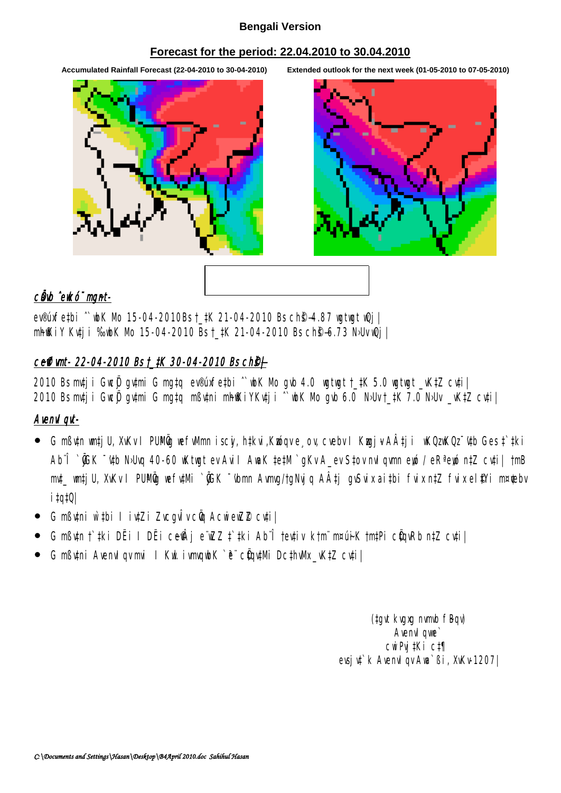#### **Bengali Version**

#### **Forecast for the period: 22.04.2010 to 30.04.2010**

**Accumulated Rainfall Forecast (22-04-2010 to 30-04-2010) Extended outlook for the next week (01-05-2010 to 07-05-2010)**



## cüwb ^ewkó" mgnt-

ev®úxfe‡bi ^wbK Mo 15-04-2010Bs † ‡K 21-04-2010 Bs ch<sup>e</sup>\$4.87 wgtwgt wQj | mhfKiy Ku‡ji ‰ubK Mo 15-04-2010 Bs t\_‡K 21-04-2010 Bs ch<sup>®</sup>s-6.73 N›Uv wQj |

# ceffimt- 22-04-2010 Bs t\_tK 30-04-2010 Bs ch<sup>®</sup>j

2010 Bs mv‡ji GwcÖj gv‡mi G mg‡q ev®úxfe‡bi ˆ`wbK Mo gvb 4.0 wgtwgt †\_‡K 5.0 wgtwgt \_vK‡Z cv‡i| 2010 Bs mv‡ji GwcÖj gv‡mi G mg‡q mßv‡ni mhfKiYKv‡ji ^`wbK Mo gvb 6.0 N›Uv †\_‡K 7.0 N›Uv \_vK‡Z cv‡i|

## Avenvl qvt-

- G mߢn wm‡jU, XvKv I PUMÖg wefwMmn iscyi, h‡kvi,Kwóqv e¸ov, cvebv I Kwgj¥A‡ji wKQzwKQz~¢tb Ges ‡`‡ki Ab¨Î `ÕGK ¯'u‡b N›Uvq 40-60 wKtwgt ev Avil AwaK ‡e‡M `gKv A\_ev S‡ov nvlgwmn ewó / eRª ewó n‡Z cu‡i| †mB mv‡ wm‡jU, XvKv I PUMÖg wefv‡Mi `ÕGK ~'vbmn Avmvg/†gNvjq A‡j gvSvix ai‡bi fvix n‡Z fvix el\$Yi m¤¢ebv i‡q‡Q|
- G mßv‡ni w`‡bi I iv‡Zi ZvcgvÎv cÖq AcwiewZZ cv‡i|
- G mߢn†tki DËi I DËi ce $\hat{\mathbb{P}}$ i eïwZZ ‡tki Abî †ev‡iv k†m¨m¤úiK †m‡Pi cÖqvRb n‡Z cv‡i|
- G mßv‡ni Avenvl qv mvi I Kwl ivmvqwbK `è¨ cÜqv‡Mi Dc‡hvMx \_vK‡Z cv‡i |

(tgvt kvgxg nvmvb fBqv) Avenv<sub>I</sub> qwe cwiPvj‡Ki c‡¶ evsjv‡`k AvenvIqv Awa`ßi, XvKv-1207|